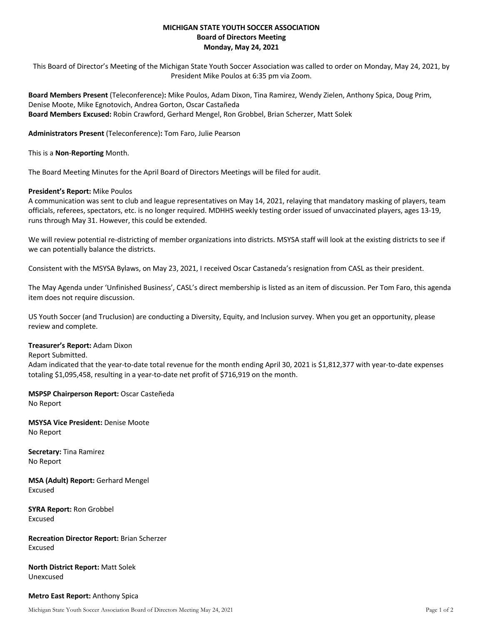# **MICHIGAN STATE YOUTH SOCCER ASSOCIATION Board of Directors Meeting Monday, May 24, 2021**

This Board of Director's Meeting of the Michigan State Youth Soccer Association was called to order on Monday, May 24, 2021, by President Mike Poulos at 6:35 pm via Zoom.

**Board Members Present** (Teleconference)**:** Mike Poulos, Adam Dixon, Tina Ramirez, Wendy Zielen, Anthony Spica, Doug Prim, Denise Moote, Mike Egnotovich, Andrea Gorton, Oscar Castañeda **Board Members Excused:** Robin Crawford, Gerhard Mengel, Ron Grobbel, Brian Scherzer, Matt Solek

**Administrators Present** (Teleconference)**:** Tom Faro, Julie Pearson

This is a **Non**-**Reporting** Month.

The Board Meeting Minutes for the April Board of Directors Meetings will be filed for audit.

### **President's Report:** Mike Poulos

A communication was sent to club and league representatives on May 14, 2021, relaying that mandatory masking of players, team officials, referees, spectators, etc. is no longer required. MDHHS weekly testing order issued of unvaccinated players, ages 13-19, runs through May 31. However, this could be extended.

We will review potential re-districting of member organizations into districts. MSYSA staff will look at the existing districts to see if we can potentially balance the districts.

Consistent with the MSYSA Bylaws, on May 23, 2021, I received Oscar Castaneda's resignation from CASL as their president.

The May Agenda under 'Unfinished Business', CASL's direct membership is listed as an item of discussion. Per Tom Faro, this agenda item does not require discussion.

US Youth Soccer (and Truclusion) are conducting a Diversity, Equity, and Inclusion survey. When you get an opportunity, please review and complete.

### **Treasurer's Report:** Adam Dixon

### Report Submitted.

Adam indicated that the year-to-date total revenue for the month ending April 30, 2021 is \$1,812,377 with year-to-date expenses totaling \$1,095,458, resulting in a year-to-date net profit of \$716,919 on the month.

# **MSPSP Chairperson Report:** Oscar Casteñeda

No Report

**MSYSA Vice President:** Denise Moote No Report

**Secretary:** Tina Ramirez No Report

**MSA (Adult) Report:** Gerhard Mengel Excused

**SYRA Report:** Ron Grobbel Excused

**Recreation Director Report:** Brian Scherzer Excused

**North District Report:** Matt Solek Unexcused

## **Metro East Report:** Anthony Spica